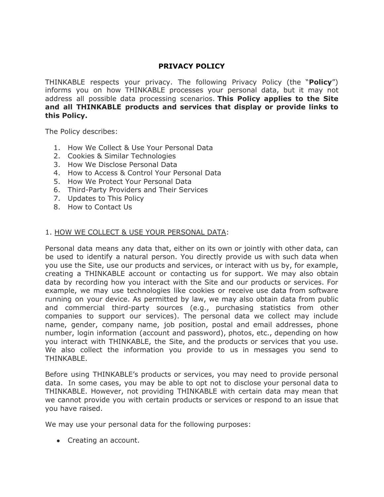# **PRIVACY POLICY**

THINKABLE respects your privacy. The following Privacy Policy (the "**Policy**") informs you on how THINKABLE processes your personal data, but it may not address all possible data processing scenarios. **This Policy applies to the Site and all THINKABLE products and services that display or provide links to this Policy.**

The Policy describes:

- 1. How We Collect & Use Your Personal Data
- 2. Cookies & Similar Technologies
- 3. How We Disclose Personal Data
- 4. How to Access & Control Your Personal Data
- 5. How We Protect Your Personal Data
- 6. Third-Party Providers and Their Services
- 7. Updates to This Policy
- 8. How to Contact Us

#### 1. HOW WE COLLECT & USE YOUR PERSONAL DATA:

Personal data means any data that, either on its own or jointly with other data, can be used to identify a natural person. You directly provide us with such data when you use the Site, use our products and services, or interact with us by, for example, creating a THINKABLE account or contacting us for support. We may also obtain data by recording how you interact with the Site and our products or services. For example, we may use technologies like cookies or receive use data from software running on your device. As permitted by law, we may also obtain data from public and commercial third-party sources (e.g., purchasing statistics from other companies to support our services). The personal data we collect may include name, gender, company name, job position, postal and email addresses, phone number, login information (account and password), photos, etc., depending on how you interact with THINKABLE, the Site, and the products or services that you use. We also collect the information you provide to us in messages you send to THINKABLE.

Before using THINKABLE's products or services, you may need to provide personal data. In some cases, you may be able to opt not to disclose your personal data to THINKABLE. However, not providing THINKABLE with certain data may mean that we cannot provide you with certain products or services or respond to an issue that you have raised.

We may use your personal data for the following purposes:

• Creating an account.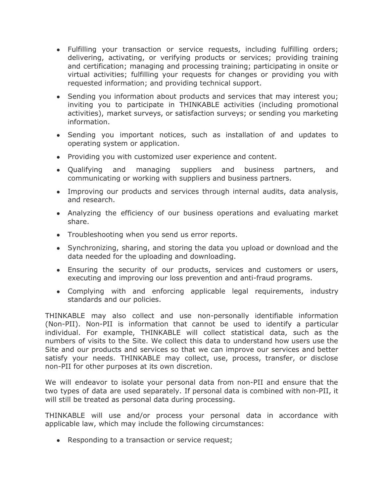- Fulfilling your transaction or service requests, including fulfilling orders; delivering, activating, or verifying products or services; providing training and certification; managing and processing training; participating in onsite or virtual activities; fulfilling your requests for changes or providing you with requested information; and providing technical support.
- Sending you information about products and services that may interest you; inviting you to participate in THINKABLE activities (including promotional activities), market surveys, or satisfaction surveys; or sending you marketing information.
- Sending you important notices, such as installation of and updates to operating system or application.
- Providing you with customized user experience and content.
- Qualifying and managing suppliers and business partners, and communicating or working with suppliers and business partners.
- Improving our products and services through internal audits, data analysis, and research.
- Analyzing the efficiency of our business operations and evaluating market share.
- Troubleshooting when you send us error reports.
- Synchronizing, sharing, and storing the data you upload or download and the data needed for the uploading and downloading.
- Ensuring the security of our products, services and customers or users, executing and improving our loss prevention and anti-fraud programs.
- Complying with and enforcing applicable legal requirements, industry standards and our policies.

THINKABLE may also collect and use non-personally identifiable information (Non-PII). Non-PII is information that cannot be used to identify a particular individual. For example, THINKABLE will collect statistical data, such as the numbers of visits to the Site. We collect this data to understand how users use the Site and our products and services so that we can improve our services and better satisfy your needs. THINKABLE may collect, use, process, transfer, or disclose non-PII for other purposes at its own discretion.

We will endeavor to isolate your personal data from non-PII and ensure that the two types of data are used separately. If personal data is combined with non-PII, it will still be treated as personal data during processing.

THINKABLE will use and/or process your personal data in accordance with applicable law, which may include the following circumstances:

• Responding to a transaction or service request;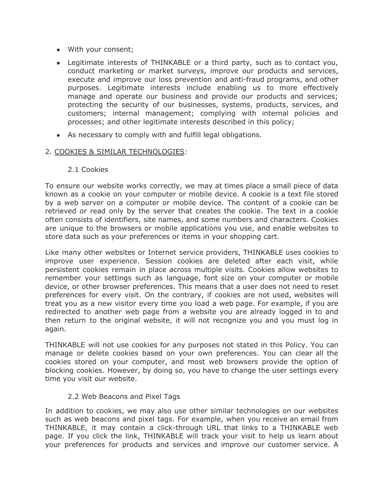- With your consent;
- Legitimate interests of THINKABLE or a third party, such as to contact you, conduct marketing or market surveys, improve our products and services, execute and improve our loss prevention and anti-fraud programs, and other purposes. Legitimate interests include enabling us to more effectively manage and operate our business and provide our products and services; protecting the security of our businesses, systems, products, services, and customers; internal management; complying with internal policies and processes; and other legitimate interests described in this policy;
- As necessary to comply with and fulfill legal obligations.

### 2. COOKIES & SIMILAR TECHNOLOGIES:

2.1 Cookies

To ensure our website works correctly, we may at times place a small piece of data known as a cookie on your computer or mobile device. A cookie is a text file stored by a web server on a computer or mobile device. The content of a cookie can be retrieved or read only by the server that creates the cookie. The text in a cookie often consists of identifiers, site names, and some numbers and characters. Cookies are unique to the browsers or mobile applications you use, and enable websites to store data such as your preferences or items in your shopping cart.

Like many other websites or Internet service providers, THINKABLE uses cookies to improve user experience. Session cookies are deleted after each visit, while persistent cookies remain in place across multiple visits. Cookies allow websites to remember your settings such as language, font size on your computer or mobile device, or other browser preferences. This means that a user does not need to reset preferences for every visit. On the contrary, if cookies are not used, websites will treat you as a new visitor every time you load a web page. For example, if you are redirected to another web page from a website you are already logged in to and then return to the original website, it will not recognize you and you must log in again.

THINKABLE will not use cookies for any purposes not stated in this Policy. You can manage or delete cookies based on your own preferences. You can clear all the cookies stored on your computer, and most web browsers provide the option of blocking cookies. However, by doing so, you have to change the user settings every time you visit our website.

# 2.2 Web Beacons and Pixel Tags

In addition to cookies, we may also use other similar technologies on our websites such as web beacons and pixel tags. For example, when you receive an email from THINKABLE, it may contain a click-through URL that links to a THINKABLE web page. If you click the link, THINKABLE will track your visit to help us learn about your preferences for products and services and improve our customer service. A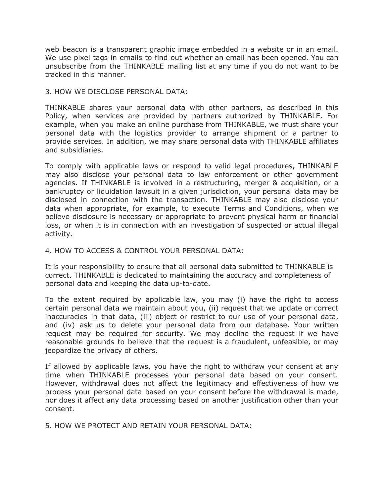web beacon is a transparent graphic image embedded in a website or in an email. We use pixel tags in emails to find out whether an email has been opened. You can unsubscribe from the THINKABLE mailing list at any time if you do not want to be tracked in this manner.

### 3. HOW WE DISCLOSE PERSONAL DATA:

THINKABLE shares your personal data with other partners, as described in this Policy, when services are provided by partners authorized by THINKABLE. For example, when you make an online purchase from THINKABLE, we must share your personal data with the logistics provider to arrange shipment or a partner to provide services. In addition, we may share personal data with THINKABLE affiliates and subsidiaries.

To comply with applicable laws or respond to valid legal procedures, THINKABLE may also disclose your personal data to law enforcement or other government agencies. If THINKABLE is involved in a restructuring, merger & acquisition, or a bankruptcy or liquidation lawsuit in a given jurisdiction, your personal data may be disclosed in connection with the transaction. THINKABLE may also disclose your data when appropriate, for example, to execute Terms and Conditions, when we believe disclosure is necessary or appropriate to prevent physical harm or financial loss, or when it is in connection with an investigation of suspected or actual illegal activity.

## 4. HOW TO ACCESS & CONTROL YOUR PERSONAL DATA:

It is your responsibility to ensure that all personal data submitted to THINKABLE is correct. THINKABLE is dedicated to maintaining the accuracy and completeness of personal data and keeping the data up-to-date.

To the extent required by applicable law, you may (i) have the right to access certain personal data we maintain about you, (ii) request that we update or correct inaccuracies in that data, (iii) object or restrict to our use of your personal data, and (iv) ask us to delete your personal data from our database. Your written request may be required for security. We may decline the request if we have reasonable grounds to believe that the request is a fraudulent, unfeasible, or may jeopardize the privacy of others.

If allowed by applicable laws, you have the right to withdraw your consent at any time when THINKABLE processes your personal data based on your consent. However, withdrawal does not affect the legitimacy and effectiveness of how we process your personal data based on your consent before the withdrawal is made, nor does it affect any data processing based on another justification other than your consent.

# 5. HOW WE PROTECT AND RETAIN YOUR PERSONAL DATA: